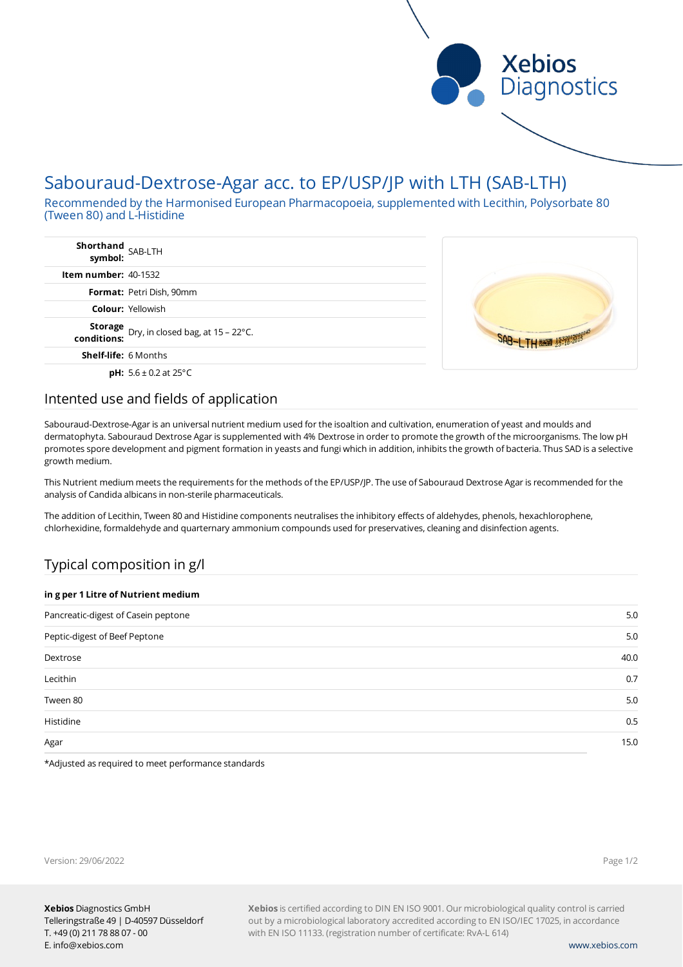

# Sabouraud-Dextrose-Agar acc. to EP/USP/JP with LTH (SAB-LTH)

Recommended by the Harmonised European Pharmacopoeia, supplemented with Lecithin, Polysorbate 80 (Tween 80) and L-Histidine

| Shorthand<br>symbol: SAB-LTH                                |  |
|-------------------------------------------------------------|--|
| <b>Item number: 40-1532</b>                                 |  |
| Format: Petri Dish, 90mm                                    |  |
| <b>Colour: Yellowish</b>                                    |  |
| Storage<br>Dry, in closed bag, at 15 - 22°C.<br>conditions: |  |
| <b>Shelf-life: 6 Months</b>                                 |  |
| <b>pH:</b> $5.6 \pm 0.2$ at 25°C                            |  |

## Intented use and fields of application

Sabouraud-Dextrose-Agar is an universal nutrient medium used for the isoaltion and cultivation, enumeration of yeast and moulds and dermatophyta. Sabouraud Dextrose Agar is supplemented with 4% Dextrose in order to promote the growth of the microorganisms. The low pH promotes spore development and pigment formation in yeasts and fungi which in addition, inhibits the growth of bacteria. Thus SAD is a selective growth medium.

This Nutrient medium meets the requirements for the methods of the EP/USP/JP. The use of Sabouraud Dextrose Agar is recommended for the analysis of Candida albicans in non-sterile pharmaceuticals.

The addition of Lecithin, Tween 80 and Histidine components neutralises the inhibitory effects of aldehydes, phenols, hexachlorophene, chlorhexidine, formaldehyde and quarternary ammonium compounds used for preservatives, cleaning and disinfection agents.

## Typical composition in g/l

| in g per 1 Litre of Nutrient medium |      |  |
|-------------------------------------|------|--|
| Pancreatic-digest of Casein peptone | 5.0  |  |
| Peptic-digest of Beef Peptone       | 5.0  |  |
| Dextrose                            | 40.0 |  |
| Lecithin                            | 0.7  |  |
| Tween 80                            | 5.0  |  |
| Histidine                           | 0.5  |  |
| Agar                                | 15.0 |  |
|                                     |      |  |

\*Adjusted as required to meet performance standards

**Xebios** is certified according to DIN EN ISO 9001. Our microbiological quality control is carried out by a microbiological laboratory accredited according to EN ISO/IEC 17025, in accordance with EN ISO 11133. (registration number of certificate: RvA-L 614)